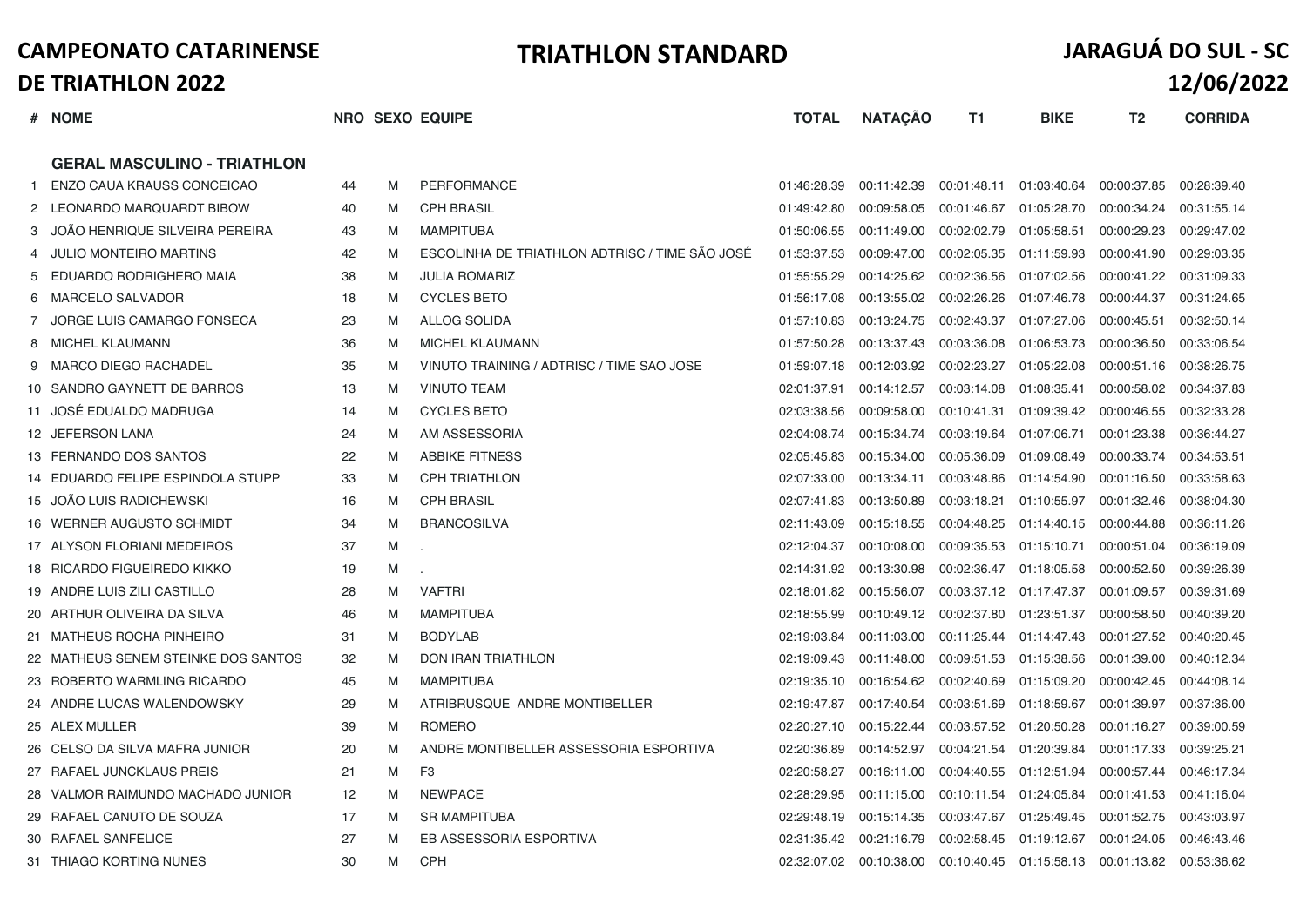|                | # NOME                              |    |   | NRO SEXO EQUIPE                                | <b>TOTAL</b> | <b>NATAÇÃO</b>          | T1                                    | <b>BIKE</b> | T <sub>2</sub>                        | <b>CORRIDA</b> |
|----------------|-------------------------------------|----|---|------------------------------------------------|--------------|-------------------------|---------------------------------------|-------------|---------------------------------------|----------------|
|                | <b>GERAL MASCULINO - TRIATHLON</b>  |    |   |                                                |              |                         |                                       |             |                                       |                |
| $\overline{1}$ | ENZO CAUA KRAUSS CONCEICAO          | 44 | M | <b>PERFORMANCE</b>                             | 01:46:28.39  | 00:11:42.39             |                                       |             | 00:01:48.11  01:03:40.64  00:00:37.85 | 00:28:39.40    |
|                | 2 LEONARDO MARQUARDT BIBOW          | 40 | M | <b>CPH BRASIL</b>                              | 01:49:42.80  | 00:09:58.05             | 00:01:46.67                           | 01:05:28.70 | 00:00:34.24                           | 00:31:55.14    |
| 3              | JOÃO HENRIQUE SILVEIRA PEREIRA      | 43 | M | <b>MAMPITUBA</b>                               | 01:50:06.55  | 00:11:49.00             | 00:02:02.79                           | 01:05:58.51 | 00:00:29.23                           | 00:29:47.02    |
|                | JULIO MONTEIRO MARTINS              | 42 | M | ESCOLINHA DE TRIATHLON ADTRISC / TIME SÃO JOSÉ | 01:53:37.53  | 00:09:47.00             | 00:02:05.35                           | 01:11:59.93 | 00:00:41.90                           | 00:29:03.35    |
| 5              | EDUARDO RODRIGHERO MAIA             | 38 | M | <b>JULIA ROMARIZ</b>                           | 01:55:55.29  | 00:14:25.62             | 00:02:36.56                           | 01:07:02.56 | 00:00:41.22                           | 00:31:09.33    |
|                | MARCELO SALVADOR                    | 18 | M | <b>CYCLES BETO</b>                             | 01:56:17.08  | 00:13:55.02             | 00:02:26.26                           | 01:07:46.78 | 00:00:44.37                           | 00:31:24.65    |
|                | 7 JORGE LUIS CAMARGO FONSECA        | 23 | M | <b>ALLOG SOLIDA</b>                            | 01:57:10.83  | 00:13:24.75             | 00:02:43.37                           | 01:07:27.06 | 00:00:45.51                           | 00:32:50.14    |
| 8              | MICHEL KLAUMANN                     | 36 | M | <b>MICHEL KLAUMANN</b>                         | 01:57:50.28  | 00:13:37.43             | 00:03:36.08                           | 01:06:53.73 | 00:00:36.50                           | 00:33:06.54    |
| 9              | MARCO DIEGO RACHADEL                | 35 | M | VINUTO TRAINING / ADTRISC / TIME SAO JOSE      | 01:59:07.18  | 00:12:03.92 00:02:23.27 |                                       | 01:05:22.08 | 00:00:51.16                           | 00:38:26.75    |
|                | 10 SANDRO GAYNETT DE BARROS         | 13 | M | <b>VINUTO TEAM</b>                             | 02:01:37.91  | 00:14:12.57             | 00:03:14.08                           | 01:08:35.41 | 00:00:58.02                           | 00:34:37.83    |
|                | 11 JOSÉ EDUALDO MADRUGA             | 14 | M | <b>CYCLES BETO</b>                             | 02:03:38.56  | 00:09:58.00             | 00:10:41.31                           | 01:09:39.42 | 00:00:46.55                           | 00:32:33.28    |
|                | 12 JEFERSON LANA                    | 24 | M | AM ASSESSORIA                                  | 02:04:08.74  | 00:15:34.74             | 00:03:19.64                           | 01:07:06.71 | 00:01:23.38                           | 00:36:44.27    |
|                | 13 FERNANDO DOS SANTOS              | 22 | M | <b>ABBIKE FITNESS</b>                          | 02:05:45.83  | 00:15:34.00             | 00:05:36.09                           | 01:09:08.49 | 00:00:33.74                           | 00:34:53.51    |
|                | 14 EDUARDO FELIPE ESPINDOLA STUPP   | 33 | M | <b>CPH TRIATHLON</b>                           | 02:07:33.00  | 00:13:34.11             | 00:03:48.86                           | 01:14:54.90 | 00:01:16.50                           | 00:33:58.63    |
|                | 15 JOÃO LUIS RADICHEWSKI            | 16 | M | <b>CPH BRASIL</b>                              | 02:07:41.83  | 00:13:50.89             | 00:03:18.21                           | 01:10:55.97 | 00:01:32.46                           | 00:38:04.30    |
|                | 16 WERNER AUGUSTO SCHMIDT           | 34 | M | <b>BRANCOSILVA</b>                             | 02:11:43.09  | 00:15:18.55             | 00:04:48.25                           | 01:14:40.15 | 00:00:44.88                           | 00:36:11.26    |
|                | 17 ALYSON FLORIANI MEDEIROS         | 37 | M |                                                | 02:12:04.37  | 00:10:08.00             | 00:09:35.53                           | 01:15:10.71 | 00:00:51.04                           | 00:36:19.09    |
|                | 18 RICARDO FIGUEIREDO KIKKO         | 19 | M |                                                | 02:14:31.92  | 00:13:30.98             | 00:02:36.47                           | 01:18:05.58 | 00:00:52.50                           | 00:39:26.39    |
|                | 19 ANDRE LUIS ZILI CASTILLO         | 28 | M | <b>VAFTRI</b>                                  | 02:18:01.82  | 00:15:56.07             | 00:03:37.12                           | 01:17:47.37 | 00:01:09.57                           | 00:39:31.69    |
|                | 20 ARTHUR OLIVEIRA DA SILVA         | 46 | M | <b>MAMPITUBA</b>                               | 02:18:55.99  | 00:10:49.12             | 00:02:37.80                           | 01:23:51.37 | 00:00:58.50                           | 00:40:39.20    |
|                | 21 MATHEUS ROCHA PINHEIRO           | 31 | M | <b>BODYLAB</b>                                 | 02:19:03.84  | 00:11:03.00             | 00:11:25.44                           | 01:14:47.43 | 00:01:27.52                           | 00:40:20.45    |
|                | 22 MATHEUS SENEM STEINKE DOS SANTOS | 32 | M | <b>DON IRAN TRIATHLON</b>                      | 02:19:09.43  | 00:11:48.00             | 00:09:51.53                           | 01:15:38.56 | 00:01:39.00                           | 00:40:12.34    |
|                | 23 ROBERTO WARMLING RICARDO         | 45 | M | <b>MAMPITUBA</b>                               | 02:19:35.10  | 00:16:54.62             | 00:02:40.69                           | 01:15:09.20 | 00:00:42.45                           | 00:44:08.14    |
|                | 24 ANDRE LUCAS WALENDOWSKY          | 29 | M | ATRIBRUSQUE ANDRE MONTIBELLER                  | 02:19:47.87  | 00:17:40.54             | 00:03:51.69                           | 01:18:59.67 | 00:01:39.97                           | 00:37:36.00    |
|                | 25 ALEX MULLER                      | 39 | M | <b>ROMERO</b>                                  | 02:20:27.10  | 00:15:22.44             | 00:03:57.52                           | 01:20:50.28 | 00:01:16.27                           | 00:39:00.59    |
|                | 26 CELSO DA SILVA MAFRA JUNIOR      | 20 | M | ANDRE MONTIBELLER ASSESSORIA ESPORTIVA         | 02:20:36.89  | 00:14:52.97             | 00:04:21.54                           | 01:20:39.84 | 00:01:17.33                           | 00:39:25.21    |
|                | 27 RAFAEL JUNCKLAUS PREIS           | 21 | M | F <sub>3</sub>                                 | 02:20:58.27  | 00:16:11.00             | 00:04:40.55                           | 01:12:51.94 | 00:00:57.44                           | 00:46:17.34    |
|                | 28 VALMOR RAIMUNDO MACHADO JUNIOR   | 12 | M | <b>NEWPACE</b>                                 | 02:28:29.95  | 00:11:15.00             | 00:10:11.54                           | 01:24:05.84 | 00:01:41.53                           | 00:41:16.04    |
|                | 29 RAFAEL CANUTO DE SOUZA           | 17 | M | <b>SR MAMPITUBA</b>                            | 02:29:48.19  | 00:15:14.35             | 00:03:47.67                           | 01:25:49.45 | 00:01:52.75                           | 00:43:03.97    |
|                | 30 RAFAEL SANFELICE                 | 27 | M | EB ASSESSORIA ESPORTIVA                        | 02:31:35.42  | 00:21:16.79             | 00:02:58.45                           | 01:19:12.67 | 00:01:24.05                           | 00:46:43.46    |
|                | 31 THIAGO KORTING NUNES             | 30 | м | <b>CPH</b>                                     | 02:32:07.02  |                         | 00:10:38.00  00:10:40.45  01:15:58.13 |             | 00:01:13.82                           | 00:53:36.62    |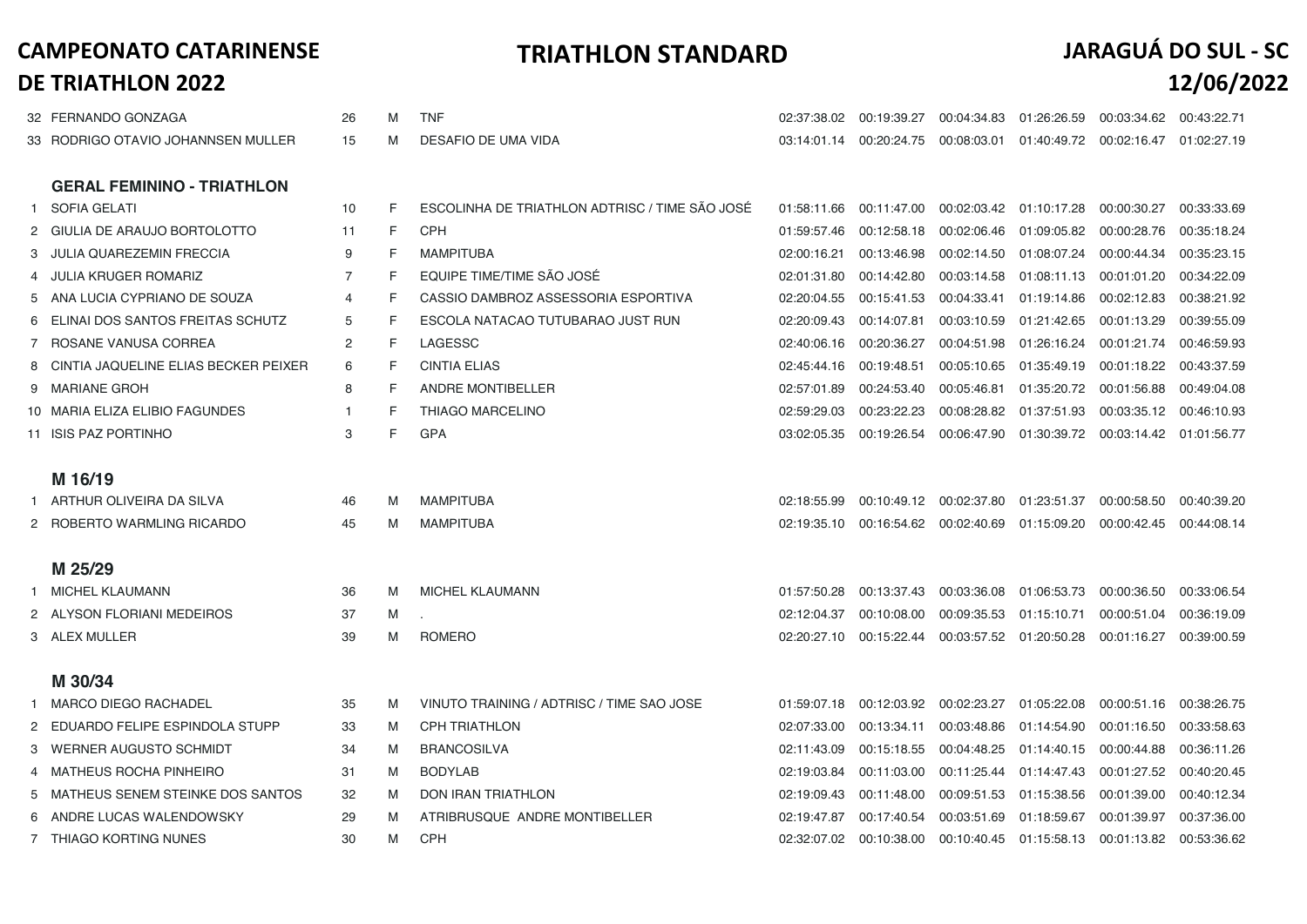|    | 32 FERNANDO GONZAGA                    | 26 | M | <b>TNF</b>                                     |             |             |                                       |                                                                 | 02:37:38.02  00:19:39.27  00:04:34.83  01:26:26.59  00:03:34.62  00:43:22.71 |             |
|----|----------------------------------------|----|---|------------------------------------------------|-------------|-------------|---------------------------------------|-----------------------------------------------------------------|------------------------------------------------------------------------------|-------------|
|    | 33 RODRIGO OTAVIO JOHANNSEN MULLER     | 15 | M | DESAFIO DE UMA VIDA                            |             |             |                                       | 03:14:01.14  00:20:24.75  00:08:03.01  01:40:49.72  00:02:16.47 |                                                                              | 01:02:27.19 |
|    |                                        |    |   |                                                |             |             |                                       |                                                                 |                                                                              |             |
|    | <b>GERAL FEMININO - TRIATHLON</b>      |    |   |                                                |             |             |                                       |                                                                 |                                                                              |             |
| -1 | SOFIA GELATI                           | 10 | F | ESCOLINHA DE TRIATHLON ADTRISC / TIME SÃO JOSÉ | 01:58:11.66 | 00:11:47.00 |                                       | 00:02:03.42  01:10:17.28                                        | 00:00:30.27                                                                  | 00:33:33.69 |
|    | 2 GIULIA DE ARAUJO BORTOLOTTO          | 11 | F | <b>CPH</b>                                     | 01:59:57.46 | 00:12:58.18 | 00:02:06.46                           | 01:09:05.82 00:00:28.76                                         |                                                                              | 00:35:18.24 |
|    | 3 JULIA QUAREZEMIN FRECCIA             | 9  | F | <b>MAMPITUBA</b>                               | 02:00:16.21 | 00:13:46.98 | 00:02:14.50                           | 01:08:07.24                                                     | 00:00:44.34                                                                  | 00:35:23.15 |
| 4  | <b>JULIA KRUGER ROMARIZ</b>            | 7  | F | EQUIPE TIME/TIME SÃO JOSÉ                      | 02:01:31.80 | 00:14:42.80 | 00:03:14.58                           | 01:08:11.13                                                     | 00:01:01.20                                                                  | 00:34:22.09 |
|    | 5 ANA LUCIA CYPRIANO DE SOUZA          | 4  | F | CASSIO DAMBROZ ASSESSORIA ESPORTIVA            | 02:20:04.55 | 00:15:41.53 | 00:04:33.41                           | 01:19:14.86                                                     | 00:02:12.83                                                                  | 00:38:21.92 |
|    | 6 ELINAI DOS SANTOS FREITAS SCHUTZ     | 5  | F | ESCOLA NATACAO TUTUBARAO JUST RUN              | 02:20:09.43 | 00:14:07.81 | 00:03:10.59                           | 01:21:42.65                                                     | 00:01:13.29                                                                  | 00:39:55.09 |
|    | 7 ROSANE VANUSA CORREA                 | 2  | F | LAGESSC                                        | 02:40:06.16 | 00:20:36.27 | 00:04:51.98                           | 01:26:16.24                                                     | 00:01:21.74                                                                  | 00:46:59.93 |
|    | 8 CINTIA JAQUELINE ELIAS BECKER PEIXER | 6  | F | <b>CINTIA ELIAS</b>                            | 02:45:44.16 | 00:19:48.51 | 00:05:10.65                           | 01:35:49.19                                                     | 00:01:18.22                                                                  | 00:43:37.59 |
|    | 9 MARIANE GROH                         | 8  | F | <b>ANDRE MONTIBELLER</b>                       | 02:57:01.89 | 00:24:53.40 | 00:05:46.81                           | 01:35:20.72 00:01:56.88                                         |                                                                              | 00:49:04.08 |
|    | 10 MARIA ELIZA ELIBIO FAGUNDES         | -1 | F | <b>THIAGO MARCELINO</b>                        | 02:59:29.03 | 00:23:22.23 | 00:08:28.82                           | 01:37:51.93                                                     | 00:03:35.12                                                                  | 00:46:10.93 |
|    | 11 ISIS PAZ PORTINHO                   | 3  | F | GPA                                            | 03:02:05.35 |             |                                       | 00:19:26.54  00:06:47.90  01:30:39.72  00:03:14.42              |                                                                              | 01:01:56.77 |
|    |                                        |    |   |                                                |             |             |                                       |                                                                 |                                                                              |             |
|    | M 16/19                                |    |   |                                                |             |             |                                       |                                                                 |                                                                              |             |
|    | 1 ARTHUR OLIVEIRA DA SILVA             | 46 | M | <b>MAMPITUBA</b>                               | 02:18:55.99 |             | 00:10:49.12 00:02:37.80               | 01:23:51.37                                                     | 00:00:58.50                                                                  | 00:40:39.20 |
|    | 2 ROBERTO WARMLING RICARDO             | 45 | M | <b>MAMPITUBA</b>                               |             |             |                                       | 02:19:35.10  00:16:54.62  00:02:40.69  01:15:09.20  00:00:42.45 |                                                                              | 00:44:08.14 |
|    |                                        |    |   |                                                |             |             |                                       |                                                                 |                                                                              |             |
|    | M 25/29                                |    |   |                                                |             |             |                                       |                                                                 |                                                                              |             |
|    | 1 MICHEL KLAUMANN                      | 36 | M | <b>MICHEL KLAUMANN</b>                         | 01:57:50.28 | 00:13:37.43 | 00:03:36.08  01:06:53.73              |                                                                 | 00:00:36.50                                                                  | 00:33:06.54 |
|    | 2 ALYSON FLORIANI MEDEIROS             | 37 | M |                                                | 02:12:04.37 | 00:10:08.00 | 00:09:35.53                           | 01:15:10.71                                                     | 00:00:51.04                                                                  | 00:36:19.09 |
|    | 3 ALEX MULLER                          | 39 | M | <b>ROMERO</b>                                  | 02:20:27.10 |             | 00:15:22.44  00:03:57.52  01:20:50.28 |                                                                 | 00:01:16.27                                                                  | 00:39:00.59 |
|    |                                        |    |   |                                                |             |             |                                       |                                                                 |                                                                              |             |
|    | M 30/34                                |    |   |                                                |             |             |                                       |                                                                 |                                                                              |             |
| -1 | MARCO DIEGO RACHADEL                   | 35 | M | VINUTO TRAINING / ADTRISC / TIME SAO JOSE      | 01:59:07.18 | 00:12:03.92 | 00:02:23.27                           | 01:05:22.08                                                     | 00:00:51.16                                                                  | 00:38:26.75 |
|    | EDUARDO FELIPE ESPINDOLA STUPP         | 33 | M | <b>CPH TRIATHLON</b>                           | 02:07:33.00 | 00:13:34.11 | 00:03:48.86                           | 01:14:54.90                                                     | 00:01:16.50                                                                  | 00:33:58.63 |
|    | 3 WERNER AUGUSTO SCHMIDT               | 34 | M | <b>BRANCOSILVA</b>                             | 02:11:43.09 | 00:15:18.55 | 00:04:48.25                           | 01:14:40.15                                                     | 00:00:44.88                                                                  | 00:36:11.26 |
|    | MATHEUS ROCHA PINHEIRO                 | 31 | M | <b>BODYLAB</b>                                 | 02:19:03.84 | 00:11:03.00 | 00:11:25.44                           | 01:14:47.43                                                     | 00:01:27.52                                                                  | 00:40:20.45 |
| 5  | MATHEUS SENEM STEINKE DOS SANTOS       | 32 | M | <b>DON IRAN TRIATHLON</b>                      | 02:19:09.43 | 00:11:48.00 | 00:09:51.53                           | 01:15:38.56                                                     | 00:01:39.00                                                                  | 00:40:12.34 |
|    | 6 ANDRE LUCAS WALENDOWSKY              | 29 | M | ATRIBRUSQUE ANDRE MONTIBELLER                  | 02:19:47.87 | 00:17:40.54 | 00:03:51.69                           | 01:18:59.67                                                     | 00:01:39.97                                                                  | 00:37:36.00 |
|    | 7 THIAGO KORTING NUNES                 | 30 | M | <b>CPH</b>                                     | 02:32:07.02 | 00:10:38.00 |                                       | 00:10:40.45  01:15:58.13  00:01:13.82                           |                                                                              | 00:53:36.62 |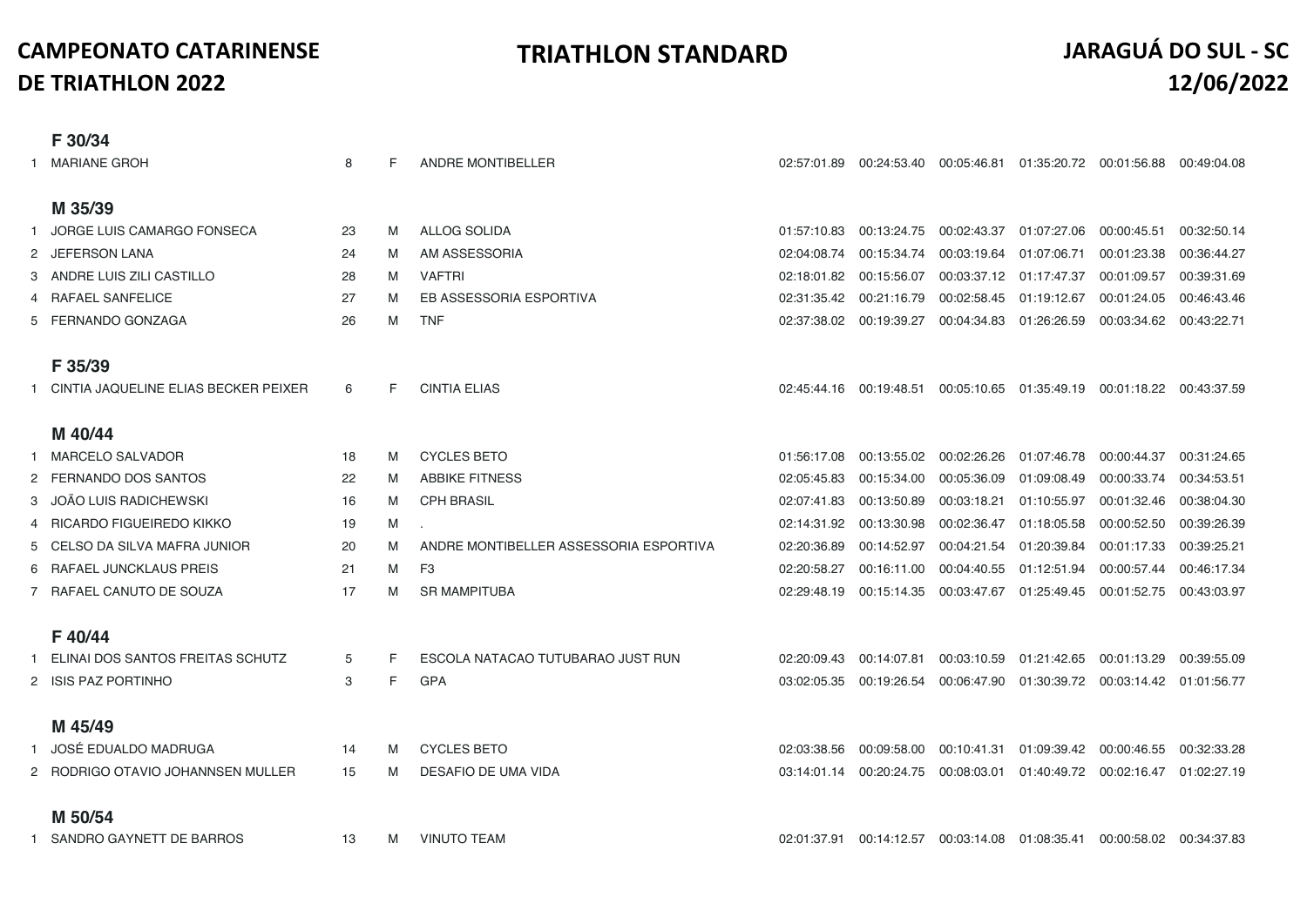|              | F 30/34                              |    |   |                                        |             |                                                    |             |                          |                                                                              |             |
|--------------|--------------------------------------|----|---|----------------------------------------|-------------|----------------------------------------------------|-------------|--------------------------|------------------------------------------------------------------------------|-------------|
|              | MARIANE GROH                         | 8  | F | ANDRE MONTIBELLER                      |             |                                                    |             |                          | 02:57:01.89  00:24:53.40  00:05:46.81  01:35:20.72  00:01:56.88  00:49:04.08 |             |
|              |                                      |    |   |                                        |             |                                                    |             |                          |                                                                              |             |
|              | M 35/39                              |    |   |                                        |             |                                                    |             |                          |                                                                              |             |
|              | JORGE LUIS CAMARGO FONSECA           | 23 | M | ALLOG SOLIDA                           | 01:57:10.83 | 00:13:24.75 00:02:43.37                            |             | 01:07:27.06              | 00:00:45.51                                                                  | 00:32:50.14 |
|              | 2 JEFERSON LANA                      | 24 | M | AM ASSESSORIA                          | 02:04:08.74 | 00:15:34.74                                        | 00:03:19.64 | 01:07:06.71              | 00:01:23.38                                                                  | 00:36:44.27 |
|              | 3 ANDRE LUIS ZILI CASTILLO           | 28 | M | <b>VAFTRI</b>                          | 02:18:01.82 | 00:15:56.07                                        |             | 00:03:37.12  01:17:47.37 | 00:01:09.57                                                                  | 00:39:31.69 |
|              | 4 RAFAEL SANFELICE                   | 27 | M | EB ASSESSORIA ESPORTIVA                | 02:31:35.42 | 00:21:16.79                                        | 00:02:58.45 | 01:19:12.67              | 00:01:24.05                                                                  | 00:46:43.46 |
|              | 5 FERNANDO GONZAGA                   | 26 | M | <b>TNF</b>                             |             | 02:37:38.02  00:19:39.27  00:04:34.83  01:26:26.59 |             |                          | 00:03:34.62                                                                  | 00:43:22.71 |
|              |                                      |    |   |                                        |             |                                                    |             |                          |                                                                              |             |
|              | F 35/39                              |    |   |                                        |             |                                                    |             |                          |                                                                              |             |
|              | CINTIA JAQUELINE ELIAS BECKER PEIXER | 6  | F | <b>CINTIA ELIAS</b>                    |             |                                                    |             |                          | 02:45:44.16 00:19:48.51 00:05:10.65 01:35:49.19 00:01:18.22 00:43:37.59      |             |
|              |                                      |    |   |                                        |             |                                                    |             |                          |                                                                              |             |
|              | M 40/44                              |    |   |                                        |             |                                                    |             |                          |                                                                              |             |
| $\mathbf{1}$ | MARCELO SALVADOR                     | 18 | M | <b>CYCLES BETO</b>                     | 01:56:17.08 | 00:13:55.02 00:02:26.26                            |             | 01:07:46.78              | 00:00:44.37                                                                  | 00:31:24.65 |
|              | 2 FERNANDO DOS SANTOS                | 22 | M | <b>ABBIKE FITNESS</b>                  | 02:05:45.83 | 00:15:34.00                                        | 00:05:36.09 | 01:09:08.49              | 00:00:33.74                                                                  | 00:34:53.51 |
|              | 3 JOÃO LUIS RADICHEWSKI              | 16 | M | <b>CPH BRASIL</b>                      | 02:07:41.83 | 00:13:50.89                                        | 00:03:18.21 | 01:10:55.97              | 00:01:32.46                                                                  | 00:38:04.30 |
|              | RICARDO FIGUEIREDO KIKKO             | 19 | M |                                        | 02:14:31.92 | 00:13:30.98                                        | 00:02:36.47 | 01:18:05.58              | 00:00:52.50                                                                  | 00:39:26.39 |
|              | 5 CELSO DA SILVA MAFRA JUNIOR        | 20 | M | ANDRE MONTIBELLER ASSESSORIA ESPORTIVA | 02:20:36.89 | 00:14:52.97                                        | 00:04:21.54 | 01:20:39.84              | 00:01:17.33                                                                  | 00:39:25.21 |
|              | 6 RAFAEL JUNCKLAUS PREIS             | 21 | M | F <sub>3</sub>                         | 02:20:58.27 | 00:16:11.00                                        | 00:04:40.55 | 01:12:51.94              | 00:00:57.44                                                                  | 00:46:17.34 |
|              | 7 RAFAEL CANUTO DE SOUZA             | 17 | M | <b>SR MAMPITUBA</b>                    |             |                                                    |             |                          | 02:29:48.19  00:15:14.35  00:03:47.67  01:25:49.45  00:01:52.75              | 00:43:03.97 |
|              |                                      |    |   |                                        |             |                                                    |             |                          |                                                                              |             |
|              | F40/44                               |    |   |                                        |             |                                                    |             |                          |                                                                              |             |
|              | ELINAI DOS SANTOS FREITAS SCHUTZ     | 5  | F | ESCOLA NATACAO TUTUBARAO JUST RUN      | 02:20:09.43 | 00:14:07.81                                        |             |                          | 00:03:10.59  01:21:42.65  00:01:13.29  00:39:55.09                           |             |
|              | 2 ISIS PAZ PORTINHO                  | 3  | F | GPA                                    | 03:02:05.35 |                                                    |             |                          | 00:19:26.54  00:06:47.90  01:30:39.72  00:03:14.42  01:01:56.77              |             |
|              |                                      |    |   |                                        |             |                                                    |             |                          |                                                                              |             |
|              | M 45/49                              |    |   |                                        |             |                                                    |             |                          |                                                                              |             |
| $\mathbf{1}$ | JOSÉ EDUALDO MADRUGA                 | 14 | M | <b>CYCLES BETO</b>                     | 02:03:38.56 |                                                    |             |                          | 00:09:58.00  00:10:41.31  01:09:39.42  00:00:46.55  00:32:33.28              |             |
|              | 2 RODRIGO OTAVIO JOHANNSEN MULLER    | 15 | M | DESAFIO DE UMA VIDA                    |             |                                                    |             |                          | 03:14:01.14 00:20:24.75 00:08:03.01 01:40:49.72 00:02:16.47 01:02:27.19      |             |
|              |                                      |    |   |                                        |             |                                                    |             |                          |                                                                              |             |
|              | M 50/54                              |    |   |                                        |             |                                                    |             |                          |                                                                              |             |
|              | 1 SANDRO GAYNETT DE BARROS           | 13 | M | <b>VINUTO TEAM</b>                     |             |                                                    |             |                          | 02:01:37.91  00:14:12.57  00:03:14.08  01:08:35.41  00:00:58.02  00:34:37.83 |             |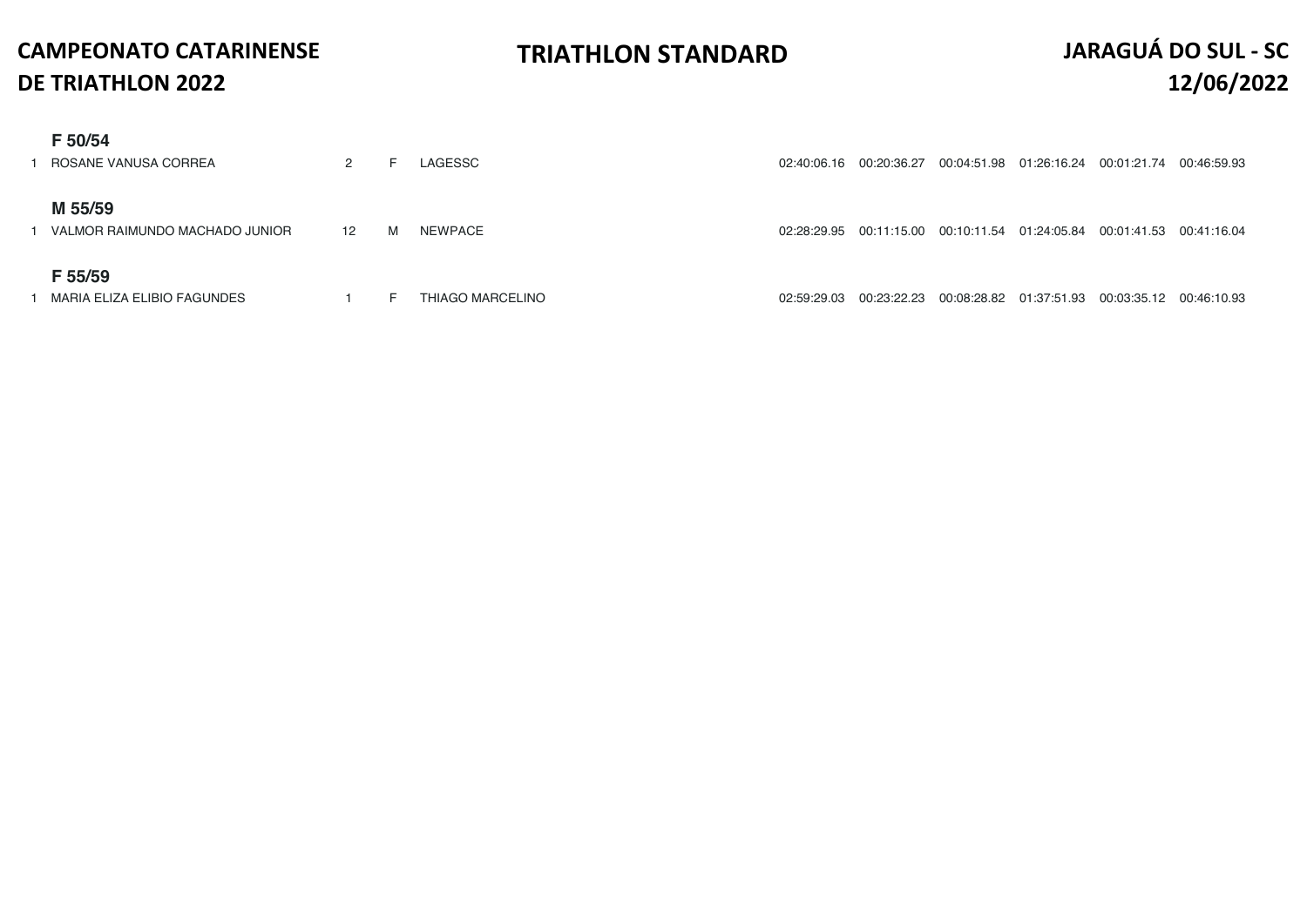| F 50/54                        |                  |   |                  |             |             |             |                                                    |                         |             |
|--------------------------------|------------------|---|------------------|-------------|-------------|-------------|----------------------------------------------------|-------------------------|-------------|
| ROSANE VANUSA CORREA           | 2                | ⊢ | LAGESSC          | 02:40:06.16 | 00:20:36.27 |             |                                                    | 00:01:21.74             | 00:46:59.93 |
|                                |                  |   |                  |             |             |             |                                                    |                         |             |
| M 55/59                        |                  |   |                  |             |             |             |                                                    |                         |             |
| VALMOR RAIMUNDO MACHADO JUNIOR | 12 <sup>12</sup> | M | NEWPACE          | 02:28:29.95 | 00:11:15.00 | 00:10:11.54 | 01:24:05.84                                        | 00:01:41.53 00:41:16.04 |             |
|                                |                  |   |                  |             |             |             |                                                    |                         |             |
| F 55/59                        |                  |   |                  |             |             |             |                                                    |                         |             |
| MARIA ELIZA ELIBIO FAGUNDES    |                  | E | THIAGO MARCELINO | 02:59:29.03 | 00:23:22.23 |             | 00:08:28.82  01:37:51.93  00:03:35.12  00:46:10.93 |                         |             |